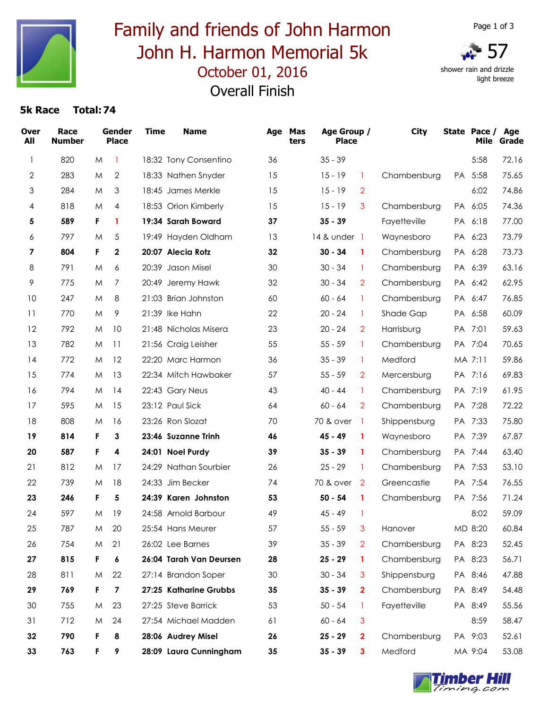

# October 01, 2016 Family and friends of John Harmon John H. Harmon Memorial 5k Overall Finish



 shower rain and drizzle light breeze

### **5k Race Total:74**

| <b>Over</b><br>All | Race<br><b>Number</b> |   | Gender<br><b>Place</b>  | <b>Time</b> | <b>Name</b>             |    | Age Mas<br>ters | Age Group /<br><b>Place</b> |                | <b>City</b>  | State Pace / Age<br>Mile | Grade |
|--------------------|-----------------------|---|-------------------------|-------------|-------------------------|----|-----------------|-----------------------------|----------------|--------------|--------------------------|-------|
| 1                  | 820                   | M | -1                      |             | 18:32 Tony Consentino   | 36 |                 | $35 - 39$                   |                |              | 5:58                     | 72.16 |
| $\overline{2}$     | 283                   | M | $\mathbf{2}$            |             | 18:33 Nathen Snyder     | 15 |                 | $15 - 19$                   | 1              | Chambersburg | PA 5:58                  | 75.65 |
| 3                  | 284                   | M | 3                       |             | 18:45 James Merkle      | 15 |                 | $15 - 19$                   | $\overline{2}$ |              | 6:02                     | 74.86 |
| 4                  | 818                   | M | 4                       |             | 18:53 Orion Kimberly    | 15 |                 | $15 - 19$                   | 3              | Chambersburg | PA 6:05                  | 74.36 |
| 5                  | 589                   | F | 1                       |             | 19:34 Sarah Boward      | 37 |                 | $35 - 39$                   |                | Fayetteville | PA 6:18                  | 77.00 |
| 6                  | 797                   | M | 5                       |             | 19:49 Hayden Oldham     | 13 |                 | 14 & under 1                |                | Waynesboro   | PA 6:23                  | 73.79 |
| 7                  | 804                   | F | $\mathbf 2$             |             | 20:07 Alecia Rotz       | 32 |                 | $30 - 34$                   | 1              | Chambersburg | PA 6:28                  | 73.73 |
| 8                  | 791                   | M | 6                       |             | 20:39 Jason Misel       | 30 |                 | $30 - 34$                   | -1             | Chambersburg | PA 6:39                  | 63.16 |
| 9                  | 775                   | M | 7                       |             | 20:49 Jeremy Hawk       | 32 |                 | $30 - 34$                   | $\overline{2}$ | Chambersburg | PA 6:42                  | 62.95 |
| 10                 | 247                   | M | 8                       |             | 21:03 Brian Johnston    | 60 |                 | $60 - 64$                   | 1              | Chambersburg | PA 6:47                  | 76.85 |
| 11                 | 770                   | M | 9                       |             | 21:39 Ike Hahn          | 22 |                 | $20 - 24$                   | 1              | Shade Gap    | PA 6:58                  | 60.09 |
| 12                 | 792                   | M | 10                      |             | 21:48 Nicholas Misera   | 23 |                 | $20 - 24$                   | $\overline{2}$ | Harrisburg   | PA 7:01                  | 59.63 |
| 13                 | 782                   | M | 11                      |             | 21:56 Craig Leisher     | 55 |                 | $55 - 59$                   | 1              | Chambersburg | PA 7:04                  | 70.65 |
| 14                 | 772                   | M | 12                      |             | 22:20 Marc Harmon       | 36 |                 | $35 - 39$                   | 1              | Medford      | MA 7:11                  | 59.86 |
| 15                 | 774                   | M | 13                      |             | 22:34 Mitch Hawbaker    | 57 |                 | $55 - 59$                   | $\overline{2}$ | Mercersburg  | PA 7:16                  | 69.83 |
| 16                 | 794                   | M | 14                      |             | 22:43 Gary Neus         | 43 |                 | 40 - 44                     | 1              | Chambersburg | PA 7:19                  | 61.95 |
| 17                 | 595                   | M | 15                      |             | 23:12 Paul Sick         | 64 |                 | $60 - 64$                   | $\overline{2}$ | Chambersburg | PA 7:28                  | 72.22 |
| 18                 | 808                   | M | 16                      |             | 23:26 Ron Slozat        | 70 |                 | 70 & over                   | -1             | Shippensburg | PA 7:33                  | 75.80 |
| 19                 | 814                   | F | 3                       |             | 23:46 Suzanne Trinh     | 46 |                 | 45 - 49                     | 1              | Waynesboro   | PA 7:39                  | 67.87 |
| 20                 | 587                   | F | 4                       |             | 24:01 Noel Purdy        | 39 |                 | $35 - 39$                   | 1              | Chambersburg | PA 7:44                  | 63.40 |
| 21                 | 812                   | M | 17                      |             | 24:29 Nathan Sourbier   | 26 |                 | $25 - 29$                   | 1              | Chambersburg | PA 7:53                  | 53.10 |
| 22                 | 739                   | M | 18                      |             | 24:33 Jim Becker        | 74 |                 | 70 & over                   | $\overline{2}$ | Greencastle  | PA 7:54                  | 76.55 |
| 23                 | 246                   | F | 5                       |             | 24:39 Karen Johnston    | 53 |                 | $50 - 54$                   | $\mathbf{1}$   | Chambersburg | PA 7:56                  | 71.24 |
| 24                 | 597                   | M | 19                      |             | 24:58 Arnold Barbour    | 49 |                 | $45 - 49$                   | -1             |              | 8:02                     | 59.09 |
| 25                 | 787                   | M | 20                      |             | 25:54 Hans Meurer       | 57 |                 | $55 - 59$                   | 3              | Hanover      | MD 8:20                  | 60.84 |
| 26                 | 754                   | M | 21                      |             | 26:02 Lee Barnes        | 39 |                 | $35 - 39$                   | $\overline{2}$ | Chambersburg | PA 8:23                  | 52.45 |
| 27                 | 815                   | F | 6                       |             | 26:04 Tarah Van Deursen | 28 |                 | $25 - 29$                   | 1              | Chambersburg | PA 8:23                  | 56.71 |
| 28                 | 811                   | M | 22                      |             | 27:14 Brandon Soper     | 30 |                 | $30 - 34$                   | 3              | Shippensburg | PA 8:46                  | 47.88 |
| 29                 | 769                   | F | $\overline{\mathbf{z}}$ |             | 27:25 Katharine Grubbs  | 35 |                 | $35 - 39$                   | $\mathbf{2}$   | Chambersburg | PA 8:49                  | 54.48 |
| 30                 | 755                   | M | 23                      |             | 27:25 Steve Barrick     | 53 |                 | $50 - 54$                   | -1             | Fayetteville | PA 8:49                  | 55.56 |
| 31                 | 712                   | M | 24                      |             | 27:54 Michael Madden    | 61 |                 | 60 - 64                     | 3              |              | 8:59                     | 58.47 |
| 32                 | 790                   | F | 8                       |             | 28:06 Audrey Misel      | 26 |                 | $25 - 29$                   | $\mathbf{2}$   | Chambersburg | PA 9:03                  | 52.61 |
| 33                 | 763                   | F | 9                       |             | 28:09 Laura Cunningham  | 35 |                 | $35 - 39$                   | 3              | Medford      | MA 9:04                  | 53.08 |

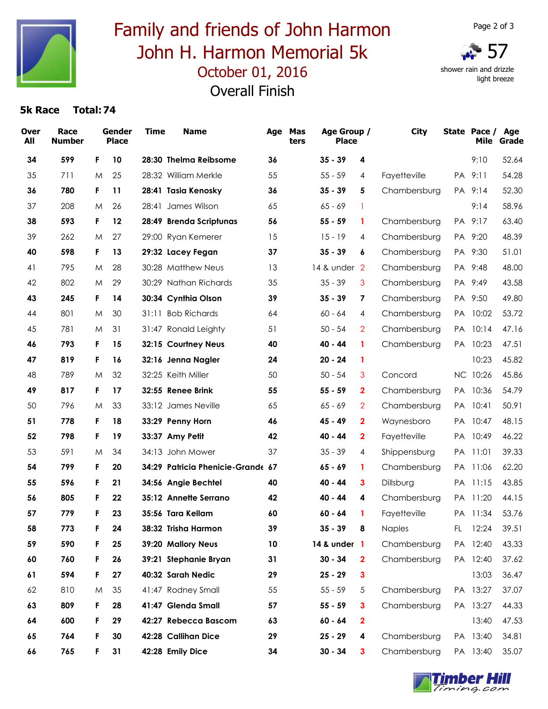

# October 01, 2016 Family and friends of John Harmon John H. Harmon Memorial 5k Overall Finish

shower rain and drizzle light breeze

### **5k Race Total:74**

| <b>Over</b><br>All | Race<br><b>Number</b> |    | Gender<br><b>Place</b> | <b>Time</b> | <b>Name</b>                       |    | Age Mas<br>ters | Age Group /<br><b>Place</b> |                | <b>City</b>  |               | State Pace /<br>Mile | Age<br>Grade |
|--------------------|-----------------------|----|------------------------|-------------|-----------------------------------|----|-----------------|-----------------------------|----------------|--------------|---------------|----------------------|--------------|
| 34                 | 599                   | F. | 10                     |             | 28:30 Thelma Reibsome             | 36 |                 | $35 - 39$                   | 4              |              |               | 9:10                 | 52.64        |
| 35                 | 711                   | M  | 25                     |             | 28:32 William Merkle              | 55 |                 | $55 - 59$                   | 4              | Fayetteville |               | PA 9:11              | 54.28        |
| 36                 | 780                   | F. | 11                     |             | 28:41 Tasia Kenosky               | 36 |                 | $35 - 39$                   | 5              | Chambersburg |               | PA 9:14              | 52.30        |
| 37                 | 208                   | M  | 26                     |             | 28:41 James Wilson                | 65 |                 | $65 - 69$                   | 1              |              |               | 9:14                 | 58.96        |
| 38                 | 593                   | F. | 12                     |             | 28:49 Brenda Scriptunas           | 56 |                 | $55 - 59$                   | 1              | Chambersburg |               | PA 9:17              | 63.40        |
| 39                 | 262                   | M  | 27                     |             | 29:00 Ryan Kemerer                | 15 |                 | $15 - 19$                   | 4              | Chambersburg |               | PA 9:20              | 48.39        |
| 40                 | 598                   | F. | 13                     |             | 29:32 Lacey Fegan                 | 37 |                 | $35 - 39$                   | 6              | Chambersburg |               | PA 9:30              | 51.01        |
| 41                 | 795                   | M  | 28                     |             | 30:28 Matthew Neus                | 13 |                 | 14 & under 2                |                | Chambersburg | <b>PA</b>     | 9:48                 | 48.00        |
| 42                 | 802                   | M  | 29                     |             | 30:29 Nathan Richards             | 35 |                 | $35 - 39$                   | 3              | Chambersburg | <b>PA</b>     | 9:49                 | 43.58        |
| 43                 | 245                   | F. | 14                     |             | 30:34 Cynthia Olson               | 39 |                 | $35 - 39$                   | 7              | Chambersburg |               | PA 9:50              | 49.80        |
| 44                 | 801                   | M  | 30                     |             | 31:11 Bob Richards                | 64 |                 | $60 - 64$                   | 4              | Chambersburg |               | PA 10:02             | 53.72        |
| 45                 | 781                   | M  | 31                     |             | 31:47 Ronald Leighty              | 51 |                 | $50 - 54$                   | $\overline{2}$ | Chambersburg | PA.           | 10:14                | 47.16        |
| 46                 | 793                   | F. | 15                     |             | 32:15 Courtney Neus               | 40 |                 | 40 - 44                     | 1              | Chambersburg |               | PA 10:23             | 47.51        |
| 47                 | 819                   | F. | 16                     |             | 32:16 Jenna Nagler                | 24 |                 | $20 - 24$                   | 1              |              |               | 10:23                | 45.82        |
| 48                 | 789                   | M  | 32                     |             | 32:25 Keith Miller                | 50 |                 | $50 - 54$                   | 3              | Concord      |               | NC 10:26             | 45.86        |
| 49                 | 817                   | F. | 17                     |             | 32:55 Renee Brink                 | 55 |                 | $55 - 59$                   | $\mathbf{2}$   | Chambersburg | <b>PA</b>     | 10:36                | 54.79        |
| 50                 | 796                   | M  | 33                     |             | 33:12 James Neville               | 65 |                 | $65 - 69$                   | $\overline{2}$ | Chambersburg | <b>PA</b>     | 10:41                | 50.91        |
| 51                 | 778                   | F. | 18                     |             | 33:29 Penny Horn                  | 46 |                 | 45 - 49                     | $\mathbf{2}$   | Waynesboro   |               | PA 10:47             | 48.15        |
| 52                 | 798                   | F  | 19                     |             | 33:37 Amy Petit                   | 42 |                 | 40 - 44                     | $\mathbf{2}$   | Fayetteville |               | PA 10:49             | 46.22        |
| 53                 | 591                   | M  | 34                     |             | 34:13 John Mower                  | 37 |                 | $35 - 39$                   | 4              | Shippensburg | PA            | 11:01                | 39.33        |
| 54                 | 799                   | F. | 20                     |             | 34:29 Patricia Phenicie-Grande 67 |    |                 | $65 - 69$                   | 1              | Chambersburg | <b>PA</b>     | 11:06                | 62.20        |
| 55                 | 596                   | F  | 21                     |             | 34:56 Angie Bechtel               | 40 |                 | 40 - 44                     | 3              | Dillsburg    | <b>PA</b>     | 11:15                | 43.85        |
| 56                 | 805                   | F  | 22                     |             | 35:12 Annette Serrano             | 42 |                 | 40 - 44                     | 4              | Chambersburg | PA.           | 11:20                | 44.15        |
| 57                 | 779                   | F  | 23                     |             | 35:56 Tara Kellam                 | 60 |                 | $60 - 64$                   | 1              | Fayetteville |               | PA 11:34             | 53.76        |
| 58                 | 773                   | F  | 24                     |             | 38:32 Trisha Harmon               | 39 |                 | $35 - 39$                   | 8              | Naples       | $\mathsf{FL}$ | 12:24                | 39.51        |
| 59                 | 590                   | F  | 25                     |             | 39:20 Mallory Neus                | 10 |                 | 14 & under 1                |                | Chambersburg |               | PA 12:40             | 43.33        |
| 60                 | 760                   | F  | 26                     |             | 39:21 Stephanie Bryan             | 31 |                 | $30 - 34$                   | $\mathbf 2$    | Chambersburg |               | PA 12:40             | 37.62        |
| 61                 | 594                   | F. | 27                     |             | 40:32 Sarah Nedic                 | 29 |                 | $25 - 29$                   | 3              |              |               | 13:03                | 36.47        |
| 62                 | 810                   | M  | 35                     |             | 41:47 Rodney Small                | 55 |                 | $55 - 59$                   | 5              | Chambersburg |               | PA 13:27             | 37.07        |
| 63                 | 809                   | F. | 28                     |             | 41:47 Glenda Small                | 57 |                 | $55 - 59$                   | 3              | Chambersburg |               | PA 13:27             | 44.33        |
| 64                 | 600                   | F  | 29                     |             | 42:27 Rebecca Bascom              | 63 |                 | $60 - 64$                   | $\mathbf 2$    |              |               | 13:40                | 47.53        |
| 65                 | 764                   | F  | 30                     |             | 42:28 Callihan Dice               | 29 |                 | $25 - 29$                   | 4              | Chambersburg |               | PA 13:40             | 34.81        |
| 66                 | 765                   | F  | 31                     |             | 42:28 Emily Dice                  | 34 |                 | $30 - 34$                   | 3              | Chambersburg |               | PA 13:40             | 35.07        |